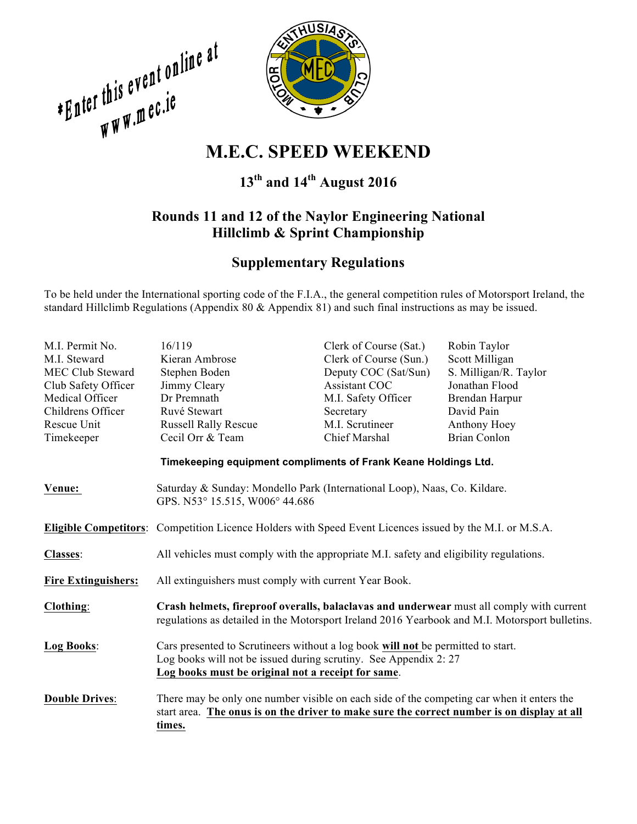**EQUATE:**<br>
WHEEL: WARD WAS MERCURY WAS MERCURY WEEKEND



# **13th and 14th August 2016**

## **Rounds 11 and 12 of the Naylor Engineering National Hillclimb & Sprint Championship**

## **Supplementary Regulations**

To be held under the International sporting code of the F.I.A., the general competition rules of Motorsport Ireland, the standard Hillclimb Regulations (Appendix 80 & Appendix 81) and such final instructions as may be issued.

| M.I. Permit No.                                                | 16/119                                                                                                                                                                                                     | Clerk of Course (Sat.) | Robin Taylor          |  |  |
|----------------------------------------------------------------|------------------------------------------------------------------------------------------------------------------------------------------------------------------------------------------------------------|------------------------|-----------------------|--|--|
| M.I. Steward                                                   | Kieran Ambrose                                                                                                                                                                                             | Clerk of Course (Sun.) | Scott Milligan        |  |  |
| <b>MEC Club Steward</b>                                        | Stephen Boden                                                                                                                                                                                              | Deputy COC (Sat/Sun)   | S. Milligan/R. Taylor |  |  |
| Club Safety Officer                                            | Jimmy Cleary                                                                                                                                                                                               | <b>Assistant COC</b>   | Jonathan Flood        |  |  |
| Medical Officer                                                | Dr Premnath                                                                                                                                                                                                | M.I. Safety Officer    | Brendan Harpur        |  |  |
| Childrens Officer                                              | Ruvé Stewart                                                                                                                                                                                               | Secretary              | David Pain            |  |  |
| Rescue Unit                                                    | <b>Russell Rally Rescue</b>                                                                                                                                                                                | M.I. Scrutineer        | Anthony Hoey          |  |  |
| Timekeeper                                                     | Cecil Orr & Team                                                                                                                                                                                           | Chief Marshal          | <b>Brian Conlon</b>   |  |  |
| Timekeeping equipment compliments of Frank Keane Holdings Ltd. |                                                                                                                                                                                                            |                        |                       |  |  |
| Venue:                                                         | Saturday & Sunday: Mondello Park (International Loop), Naas, Co. Kildare.<br>GPS. N53° 15.515, W006° 44.686                                                                                                |                        |                       |  |  |
|                                                                | <b>Eligible Competitors:</b> Competition Licence Holders with Speed Event Licences issued by the M.I. or M.S.A.                                                                                            |                        |                       |  |  |
| <b>Classes:</b>                                                | All vehicles must comply with the appropriate M.I. safety and eligibility regulations.                                                                                                                     |                        |                       |  |  |
| <b>Fire Extinguishers:</b>                                     | All extinguishers must comply with current Year Book.                                                                                                                                                      |                        |                       |  |  |
| Clothing:                                                      | Crash helmets, fireproof overalls, balaclavas and underwear must all comply with current<br>regulations as detailed in the Motorsport Ireland 2016 Yearbook and M.I. Motorsport bulletins.                 |                        |                       |  |  |
| Log Books:                                                     | Cars presented to Scrutineers without a log book will not be permitted to start.<br>Log books will not be issued during scrutiny. See Appendix 2: 27<br>Log books must be original not a receipt for same. |                        |                       |  |  |
| <b>Double Drives:</b>                                          | There may be only one number visible on each side of the competing car when it enters the<br>start area. The onus is on the driver to make sure the correct number is on display at all<br>times.          |                        |                       |  |  |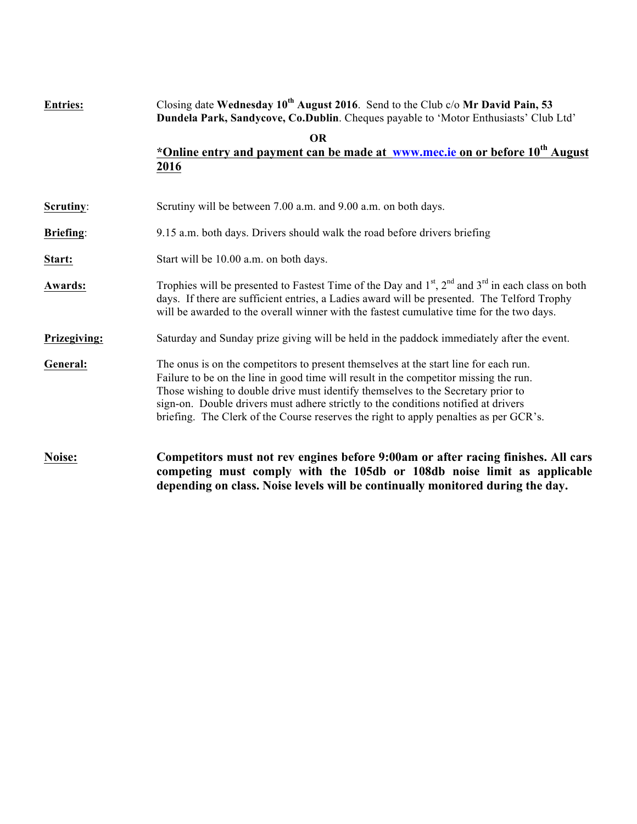| <b>Entries:</b>  | Closing date Wednesday $10^{th}$ August 2016. Send to the Club c/o Mr David Pain, 53<br>Dundela Park, Sandycove, Co.Dublin. Cheques payable to 'Motor Enthusiasts' Club Ltd'                                                                                                                                                                                                                                                                     |
|------------------|--------------------------------------------------------------------------------------------------------------------------------------------------------------------------------------------------------------------------------------------------------------------------------------------------------------------------------------------------------------------------------------------------------------------------------------------------|
|                  | <b>OR</b><br>*Online entry and payment can be made at www.mec.ie on or before 10 <sup>th</sup> August<br>2016                                                                                                                                                                                                                                                                                                                                    |
| Scrutiny:        | Scrutiny will be between 7.00 a.m. and 9.00 a.m. on both days.                                                                                                                                                                                                                                                                                                                                                                                   |
| <b>Briefing:</b> | 9.15 a.m. both days. Drivers should walk the road before drivers briefing                                                                                                                                                                                                                                                                                                                                                                        |
| Start:           | Start will be 10.00 a.m. on both days.                                                                                                                                                                                                                                                                                                                                                                                                           |
| Awards:          | Trophies will be presented to Fastest Time of the Day and $1st$ , $2nd$ and $3rd$ in each class on both<br>days. If there are sufficient entries, a Ladies award will be presented. The Telford Trophy<br>will be awarded to the overall winner with the fastest cumulative time for the two days.                                                                                                                                               |
| Prizegiving:     | Saturday and Sunday prize giving will be held in the paddock immediately after the event.                                                                                                                                                                                                                                                                                                                                                        |
| General:         | The onus is on the competitors to present themselves at the start line for each run.<br>Failure to be on the line in good time will result in the competitor missing the run.<br>Those wishing to double drive must identify themselves to the Secretary prior to<br>sign-on. Double drivers must adhere strictly to the conditions notified at drivers<br>briefing. The Clerk of the Course reserves the right to apply penalties as per GCR's. |
| Noise:           | Competitors must not rev engines before 9:00am or after racing finishes. All cars<br>competing must comply with the 105db or 108db noise limit as applicable<br>depending on class. Noise levels will be continually monitored during the day.                                                                                                                                                                                                   |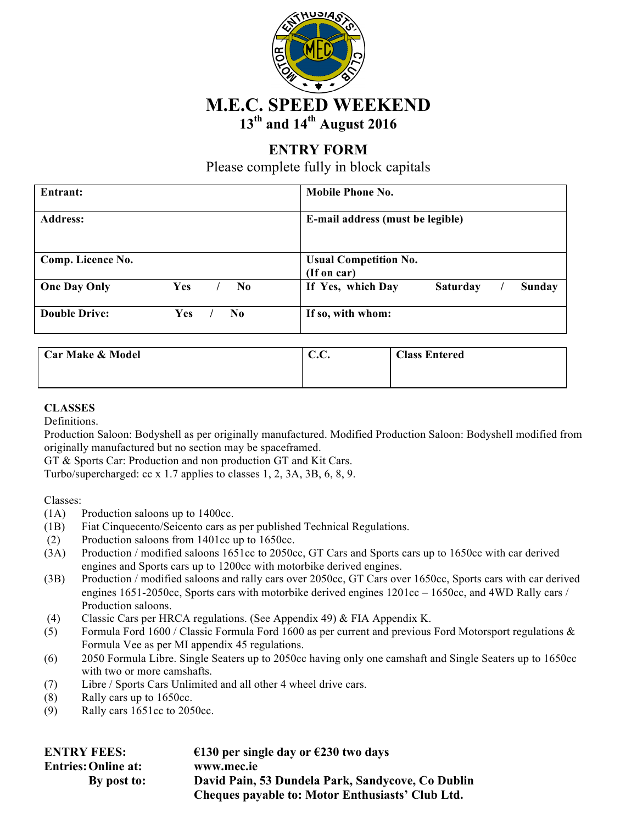

# **ENTRY FORM**

Please complete fully in block capitals

| Entrant:             |     |  |                | <b>Mobile Phone No.</b>                               |  |  |
|----------------------|-----|--|----------------|-------------------------------------------------------|--|--|
| <b>Address:</b>      |     |  |                | E-mail address (must be legible)                      |  |  |
| Comp. Licence No.    |     |  |                | <b>Usual Competition No.</b><br>(If on car)           |  |  |
| <b>One Day Only</b>  | Yes |  | No.            | If Yes, which Day<br><b>Saturday</b><br><b>Sunday</b> |  |  |
| <b>Double Drive:</b> | Yes |  | N <sub>0</sub> | If so, with whom:                                     |  |  |

| <b>Car Make &amp; Model</b> | $\sqrt{ }$<br>$\sqrt{ }$<br>v.v. | <b>Class Entered</b> |
|-----------------------------|----------------------------------|----------------------|
|                             |                                  |                      |

#### **CLASSES**

Definitions.

Production Saloon: Bodyshell as per originally manufactured. Modified Production Saloon: Bodyshell modified from originally manufactured but no section may be spaceframed.

GT & Sports Car: Production and non production GT and Kit Cars.

Turbo/supercharged: cc x 1.7 applies to classes 1, 2, 3A, 3B, 6, 8, 9.

Classes:

- (1A) Production saloons up to 1400cc.
- (1B) Fiat Cinquecento/Seicento cars as per published Technical Regulations.
- (2) Production saloons from 1401cc up to 1650cc.
- (3A) Production / modified saloons 1651cc to 2050cc, GT Cars and Sports cars up to 1650cc with car derived engines and Sports cars up to 1200cc with motorbike derived engines.
- (3B) Production / modified saloons and rally cars over 2050cc, GT Cars over 1650cc, Sports cars with car derived engines 1651-2050cc, Sports cars with motorbike derived engines 1201cc – 1650cc, and 4WD Rally cars / Production saloons.
- (4) Classic Cars per HRCA regulations. (See Appendix 49) & FIA Appendix K.
- (5) Formula Ford 1600 / Classic Formula Ford 1600 as per current and previous Ford Motorsport regulations  $\&$ Formula Vee as per MI appendix 45 regulations.
- (6) 2050 Formula Libre. Single Seaters up to 2050cc having only one camshaft and Single Seaters up to 1650cc with two or more camshafts.
- (7) Libre / Sports Cars Unlimited and all other 4 wheel drive cars.
- (8) Rally cars up to 1650cc.
- (9) Rally cars 1651cc to 2050cc.

| <b>ENTRY FEES:</b>         | €130 per single day or €230 two days              |
|----------------------------|---------------------------------------------------|
| <b>Entries: Online at:</b> | www.mec.ie                                        |
| By post to:                | David Pain, 53 Dundela Park, Sandycove, Co Dublin |
|                            | Cheques payable to: Motor Enthusiasts' Club Ltd.  |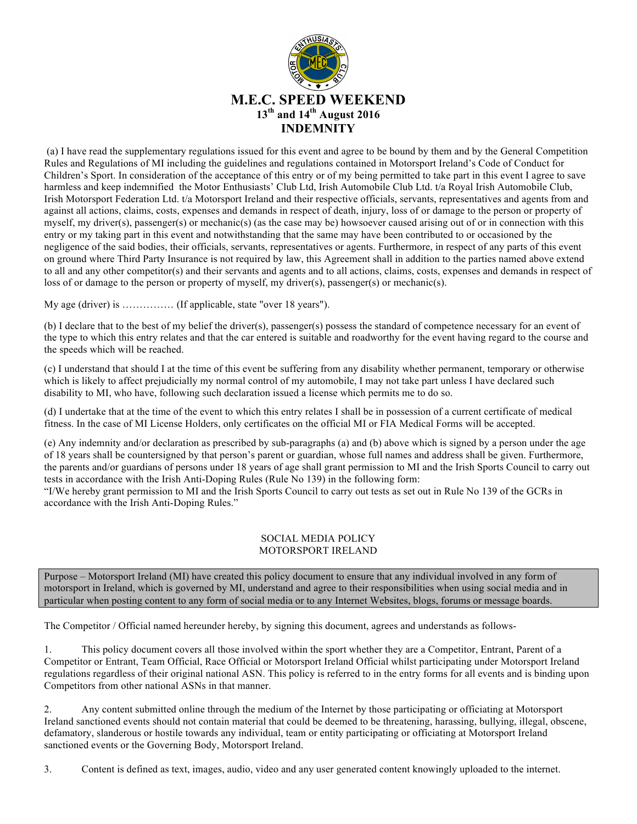

(a) I have read the supplementary regulations issued for this event and agree to be bound by them and by the General Competition Rules and Regulations of MI including the guidelines and regulations contained in Motorsport Ireland's Code of Conduct for Children's Sport. In consideration of the acceptance of this entry or of my being permitted to take part in this event I agree to save harmless and keep indemnified the Motor Enthusiasts' Club Ltd, Irish Automobile Club Ltd. t/a Royal Irish Automobile Club, Irish Motorsport Federation Ltd. t/a Motorsport Ireland and their respective officials, servants, representatives and agents from and against all actions, claims, costs, expenses and demands in respect of death, injury, loss of or damage to the person or property of myself, my driver(s), passenger(s) or mechanic(s) (as the case may be) howsoever caused arising out of or in connection with this entry or my taking part in this event and notwithstanding that the same may have been contributed to or occasioned by the negligence of the said bodies, their officials, servants, representatives or agents. Furthermore, in respect of any parts of this event on ground where Third Party Insurance is not required by law, this Agreement shall in addition to the parties named above extend to all and any other competitor(s) and their servants and agents and to all actions, claims, costs, expenses and demands in respect of loss of or damage to the person or property of myself, my driver(s), passenger(s) or mechanic(s).

My age (driver) is …………… (If applicable, state "over 18 years").

(b) I declare that to the best of my belief the driver(s), passenger(s) possess the standard of competence necessary for an event of the type to which this entry relates and that the car entered is suitable and roadworthy for the event having regard to the course and the speeds which will be reached.

(c) I understand that should I at the time of this event be suffering from any disability whether permanent, temporary or otherwise which is likely to affect prejudicially my normal control of my automobile, I may not take part unless I have declared such disability to MI, who have, following such declaration issued a license which permits me to do so.

(d) I undertake that at the time of the event to which this entry relates I shall be in possession of a current certificate of medical fitness. In the case of MI License Holders, only certificates on the official MI or FIA Medical Forms will be accepted.

(e) Any indemnity and/or declaration as prescribed by sub-paragraphs (a) and (b) above which is signed by a person under the age of 18 years shall be countersigned by that person's parent or guardian, whose full names and address shall be given. Furthermore, the parents and/or guardians of persons under 18 years of age shall grant permission to MI and the Irish Sports Council to carry out tests in accordance with the Irish Anti-Doping Rules (Rule No 139) in the following form:

"I/We hereby grant permission to MI and the Irish Sports Council to carry out tests as set out in Rule No 139 of the GCRs in accordance with the Irish Anti-Doping Rules."

#### SOCIAL MEDIA POLICY MOTORSPORT IRELAND

Purpose – Motorsport Ireland (MI) have created this policy document to ensure that any individual involved in any form of motorsport in Ireland, which is governed by MI, understand and agree to their responsibilities when using social media and in particular when posting content to any form of social media or to any Internet Websites, blogs, forums or message boards.

The Competitor / Official named hereunder hereby, by signing this document, agrees and understands as follows-

1. This policy document covers all those involved within the sport whether they are a Competitor, Entrant, Parent of a Competitor or Entrant, Team Official, Race Official or Motorsport Ireland Official whilst participating under Motorsport Ireland regulations regardless of their original national ASN. This policy is referred to in the entry forms for all events and is binding upon Competitors from other national ASNs in that manner.

2. Any content submitted online through the medium of the Internet by those participating or officiating at Motorsport Ireland sanctioned events should not contain material that could be deemed to be threatening, harassing, bullying, illegal, obscene, defamatory, slanderous or hostile towards any individual, team or entity participating or officiating at Motorsport Ireland sanctioned events or the Governing Body, Motorsport Ireland.

3. Content is defined as text, images, audio, video and any user generated content knowingly uploaded to the internet.